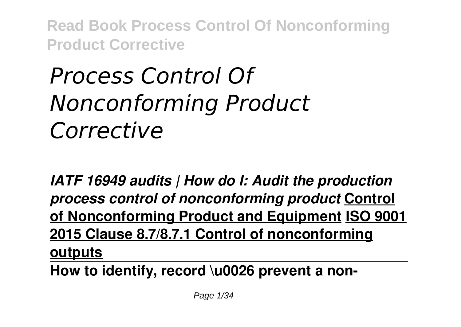# *Process Control Of Nonconforming Product Corrective*

*IATF 16949 audits | How do I: Audit the production process control of nonconforming product* **Control of Nonconforming Product and Equipment ISO 9001 2015 Clause 8.7/8.7.1 Control of nonconforming outputs**

**How to identify, record \u0026 prevent a non-**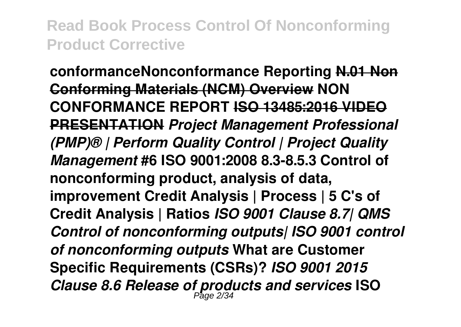**conformanceNonconformance Reporting N.01 Non Conforming Materials (NCM) Overview NON CONFORMANCE REPORT ISO 13485:2016 VIDEO PRESENTATION** *Project Management Professional (PMP)® | Perform Quality Control | Project Quality Management* **#6 ISO 9001:2008 8.3-8.5.3 Control of nonconforming product, analysis of data, improvement Credit Analysis | Process | 5 C's of Credit Analysis | Ratios** *ISO 9001 Clause 8.7| QMS Control of nonconforming outputs| ISO 9001 control of nonconforming outputs* **What are Customer Specific Requirements (CSRs)?** *ISO 9001 2015 Clause 8.6 Release of products and services* **ISO** Page 2/34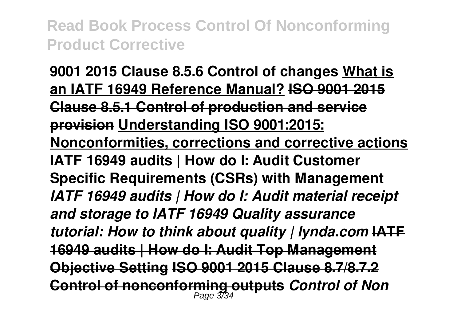**9001 2015 Clause 8.5.6 Control of changes What is an IATF 16949 Reference Manual? ISO 9001 2015 Clause 8.5.1 Control of production and service provision Understanding ISO 9001:2015: Nonconformities, corrections and corrective actions IATF 16949 audits | How do I: Audit Customer Specific Requirements (CSRs) with Management** *IATF 16949 audits | How do I: Audit material receipt and storage to IATF 16949 Quality assurance tutorial: How to think about quality | lynda.com* **IATF 16949 audits | How do I: Audit Top Management Objective Setting ISO 9001 2015 Clause 8.7/8.7.2 Control of nonconforming outputs** *Control of Non* Page 3/34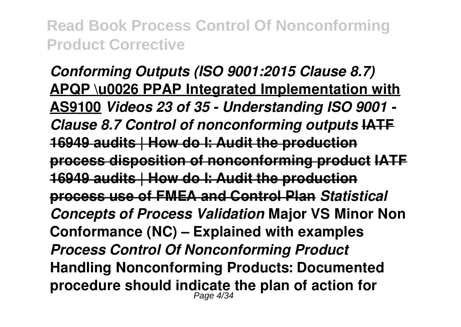*Conforming Outputs (ISO 9001:2015 Clause 8.7)* **APQP \u0026 PPAP Integrated Implementation with AS9100** *Videos 23 of 35 - Understanding ISO 9001 - Clause 8.7 Control of nonconforming outputs* **IATF 16949 audits | How do I: Audit the production process disposition of nonconforming product IATF 16949 audits | How do I: Audit the production process use of FMEA and Control Plan** *Statistical Concepts of Process Validation* **Major VS Minor Non Conformance (NC) – Explained with examples**  *Process Control Of Nonconforming Product* **Handling Nonconforming Products: Documented procedure should indicate the plan of action for** Page 4/34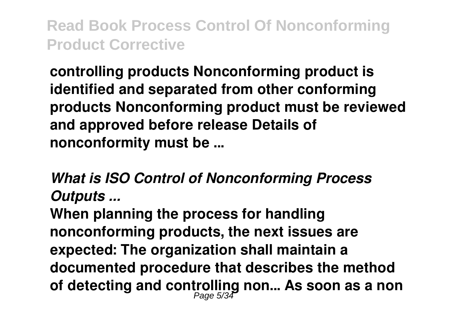**controlling products Nonconforming product is identified and separated from other conforming products Nonconforming product must be reviewed and approved before release Details of nonconformity must be ...**

*What is ISO Control of Nonconforming Process Outputs ...*

**When planning the process for handling nonconforming products, the next issues are expected: The organization shall maintain a documented procedure that describes the method of detecting and controlling non... As soon as a non** Page 5/34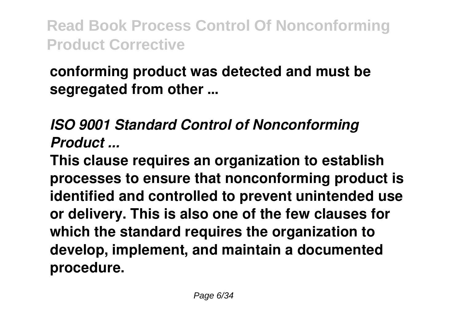#### **conforming product was detected and must be segregated from other ...**

#### *ISO 9001 Standard Control of Nonconforming Product ...*

**This clause requires an organization to establish processes to ensure that nonconforming product is identified and controlled to prevent unintended use or delivery. This is also one of the few clauses for which the standard requires the organization to develop, implement, and maintain a documented procedure.**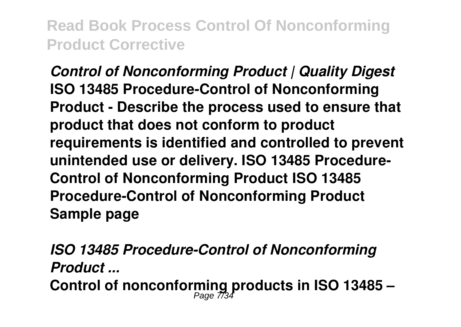*Control of Nonconforming Product | Quality Digest* **ISO 13485 Procedure-Control of Nonconforming Product - Describe the process used to ensure that product that does not conform to product requirements is identified and controlled to prevent unintended use or delivery. ISO 13485 Procedure-Control of Nonconforming Product ISO 13485 Procedure-Control of Nonconforming Product Sample page**

*ISO 13485 Procedure-Control of Nonconforming Product ...* **Control of nonconforming products in ISO 13485 –** Page 7/34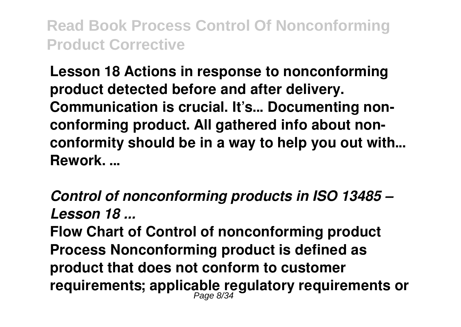**Lesson 18 Actions in response to nonconforming product detected before and after delivery. Communication is crucial. It's... Documenting nonconforming product. All gathered info about nonconformity should be in a way to help you out with... Rework. ...**

*Control of nonconforming products in ISO 13485 – Lesson 18 ...*

**Flow Chart of Control of nonconforming product Process Nonconforming product is defined as product that does not conform to customer requirements; applicable regulatory requirements or** Page 8/34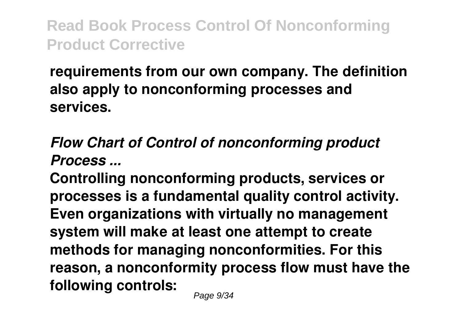#### **requirements from our own company. The definition also apply to nonconforming processes and services.**

#### *Flow Chart of Control of nonconforming product Process ...*

**Controlling nonconforming products, services or processes is a fundamental quality control activity. Even organizations with virtually no management system will make at least one attempt to create methods for managing nonconformities. For this reason, a nonconformity process flow must have the following controls:**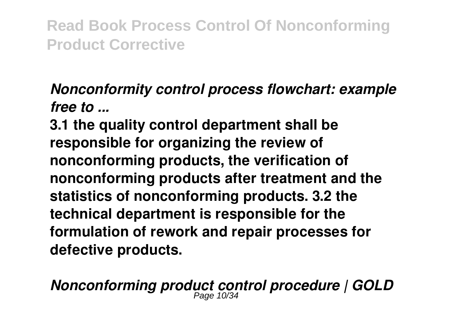#### *Nonconformity control process flowchart: example free to ...*

**3.1 the quality control department shall be responsible for organizing the review of nonconforming products, the verification of nonconforming products after treatment and the statistics of nonconforming products. 3.2 the technical department is responsible for the formulation of rework and repair processes for defective products.**

*Nonconforming product control procedure | GOLD* Page 10/34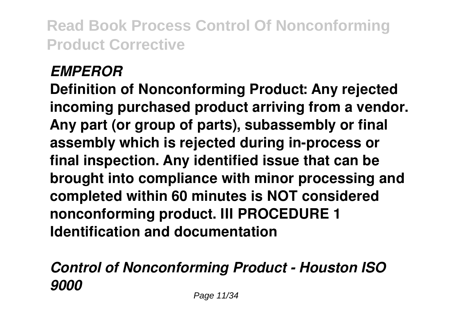#### *EMPEROR*

**Definition of Nonconforming Product: Any rejected incoming purchased product arriving from a vendor. Any part (or group of parts), subassembly or final assembly which is rejected during in-process or final inspection. Any identified issue that can be brought into compliance with minor processing and completed within 60 minutes is NOT considered nonconforming product. III PROCEDURE 1 Identification and documentation**

#### *Control of Nonconforming Product - Houston ISO 9000*

Page 11/34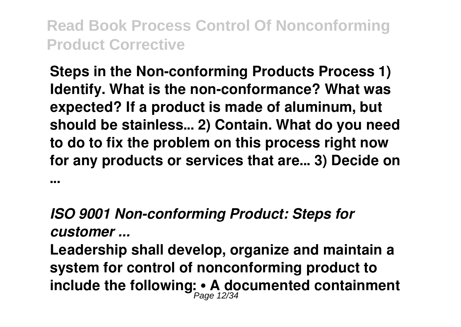**Steps in the Non-conforming Products Process 1) Identify. What is the non-conformance? What was expected? If a product is made of aluminum, but should be stainless... 2) Contain. What do you need to do to fix the problem on this process right now for any products or services that are... 3) Decide on**

**...**

#### *ISO 9001 Non-conforming Product: Steps for customer ...*

**Leadership shall develop, organize and maintain a system for control of nonconforming product to include the following: • A documented containment** Page 12/34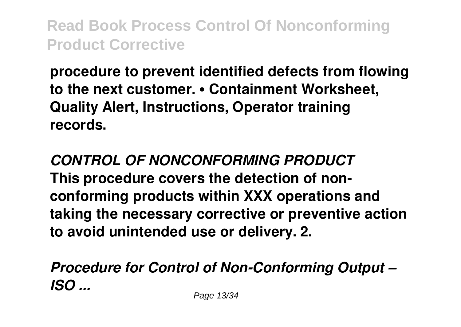**procedure to prevent identified defects from flowing to the next customer. • Containment Worksheet, Quality Alert, Instructions, Operator training records.**

*CONTROL OF NONCONFORMING PRODUCT* **This procedure covers the detection of nonconforming products within XXX operations and taking the necessary corrective or preventive action to avoid unintended use or delivery. 2.**

*Procedure for Control of Non-Conforming Output – ISO ...*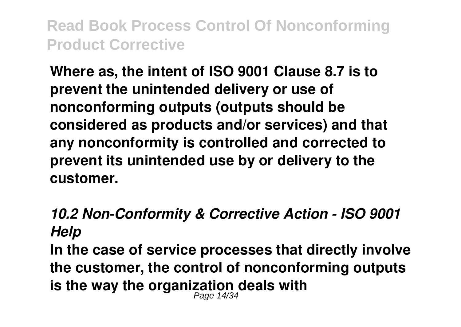**Where as, the intent of ISO 9001 Clause 8.7 is to prevent the unintended delivery or use of nonconforming outputs (outputs should be considered as products and/or services) and that any nonconformity is controlled and corrected to prevent its unintended use by or delivery to the customer.**

#### *10.2 Non-Conformity & Corrective Action - ISO 9001 Help*

**In the case of service processes that directly involve the customer, the control of nonconforming outputs is the way the organization deals with** Page 14/34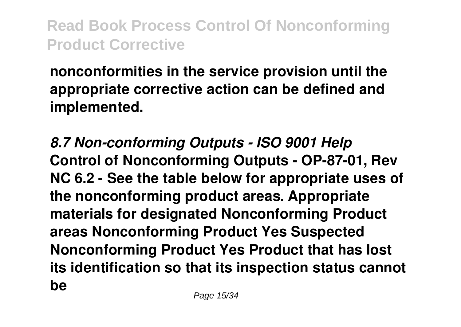**nonconformities in the service provision until the appropriate corrective action can be defined and implemented.**

*8.7 Non-conforming Outputs - ISO 9001 Help* **Control of Nonconforming Outputs - OP-87-01, Rev NC 6.2 - See the table below for appropriate uses of the nonconforming product areas. Appropriate materials for designated Nonconforming Product areas Nonconforming Product Yes Suspected Nonconforming Product Yes Product that has lost its identification so that its inspection status cannot be**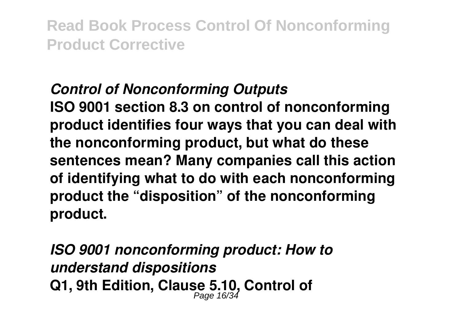#### *Control of Nonconforming Outputs*

**ISO 9001 section 8.3 on control of nonconforming product identifies four ways that you can deal with the nonconforming product, but what do these sentences mean? Many companies call this action of identifying what to do with each nonconforming product the "disposition" of the nonconforming product.**

*ISO 9001 nonconforming product: How to understand dispositions* **Q1, 9th Edition, Clause 5.10, Control of** Page 16/34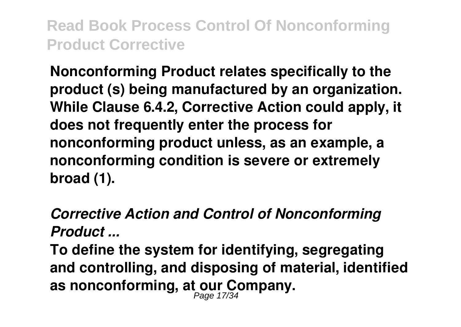**Nonconforming Product relates specifically to the product (s) being manufactured by an organization. While Clause 6.4.2, Corrective Action could apply, it does not frequently enter the process for nonconforming product unless, as an example, a nonconforming condition is severe or extremely broad (1).**

#### *Corrective Action and Control of Nonconforming Product ...*

**To define the system for identifying, segregating and controlling, and disposing of material, identified as nonconforming, at our Company.** Page 17/34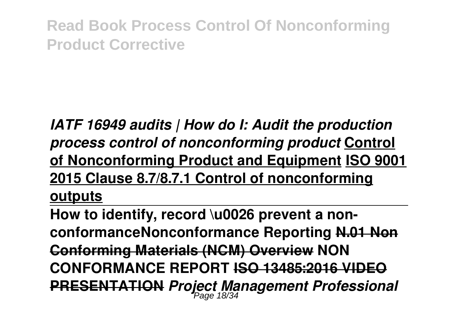#### *IATF 16949 audits | How do I: Audit the production process control of nonconforming product* **Control of Nonconforming Product and Equipment ISO 9001 2015 Clause 8.7/8.7.1 Control of nonconforming outputs**

**How to identify, record \u0026 prevent a nonconformanceNonconformance Reporting N.01 Non Conforming Materials (NCM) Overview NON CONFORMANCE REPORT ISO 13485:2016 VIDEO PRESENTATION** *Project Management Professional* Page 18/34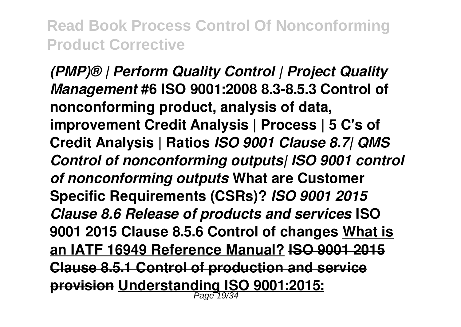*(PMP)® | Perform Quality Control | Project Quality Management* **#6 ISO 9001:2008 8.3-8.5.3 Control of nonconforming product, analysis of data, improvement Credit Analysis | Process | 5 C's of Credit Analysis | Ratios** *ISO 9001 Clause 8.7| QMS Control of nonconforming outputs| ISO 9001 control of nonconforming outputs* **What are Customer Specific Requirements (CSRs)?** *ISO 9001 2015 Clause 8.6 Release of products and services* **ISO 9001 2015 Clause 8.5.6 Control of changes What is an IATF 16949 Reference Manual? ISO 9001 2015 Clause 8.5.1 Control of production and service provision Understanding ISO 9001:2015:** Page 19/34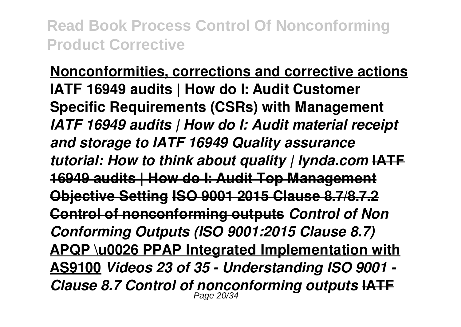**Nonconformities, corrections and corrective actions IATF 16949 audits | How do I: Audit Customer Specific Requirements (CSRs) with Management** *IATF 16949 audits | How do I: Audit material receipt and storage to IATF 16949 Quality assurance tutorial: How to think about quality | lynda.com* **IATF 16949 audits | How do I: Audit Top Management Objective Setting ISO 9001 2015 Clause 8.7/8.7.2 Control of nonconforming outputs** *Control of Non Conforming Outputs (ISO 9001:2015 Clause 8.7)* **APQP \u0026 PPAP Integrated Implementation with AS9100** *Videos 23 of 35 - Understanding ISO 9001 - Clause 8.7 Control of nonconforming outputs* **IATF** Page 20/34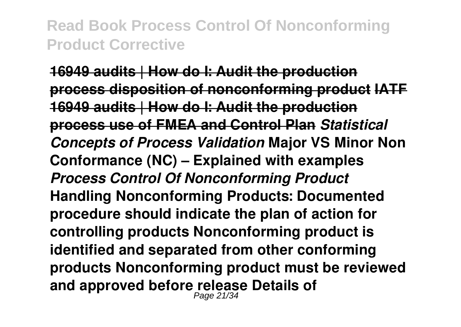**16949 audits | How do I: Audit the production process disposition of nonconforming product IATF 16949 audits | How do I: Audit the production process use of FMEA and Control Plan** *Statistical Concepts of Process Validation* **Major VS Minor Non Conformance (NC) – Explained with examples**  *Process Control Of Nonconforming Product* **Handling Nonconforming Products: Documented procedure should indicate the plan of action for controlling products Nonconforming product is identified and separated from other conforming products Nonconforming product must be reviewed and approved before release Details of** Page 21/34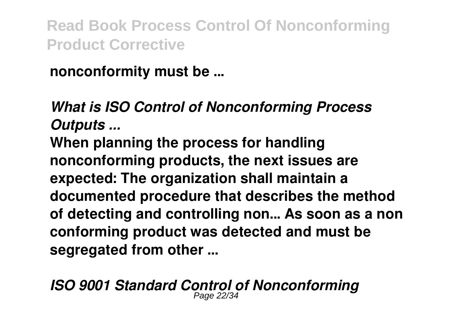**nonconformity must be ...**

## *What is ISO Control of Nonconforming Process Outputs ...*

**When planning the process for handling nonconforming products, the next issues are expected: The organization shall maintain a documented procedure that describes the method of detecting and controlling non... As soon as a non conforming product was detected and must be segregated from other ...**

*ISO 9001 Standard Control of Nonconforming* Page 22/34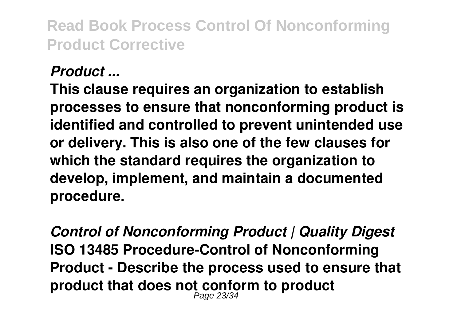#### *Product ...*

**This clause requires an organization to establish processes to ensure that nonconforming product is identified and controlled to prevent unintended use or delivery. This is also one of the few clauses for which the standard requires the organization to develop, implement, and maintain a documented procedure.**

*Control of Nonconforming Product | Quality Digest* **ISO 13485 Procedure-Control of Nonconforming Product - Describe the process used to ensure that product that does not conform to product** Page 23/34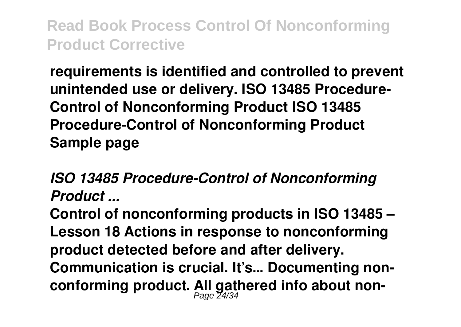**requirements is identified and controlled to prevent unintended use or delivery. ISO 13485 Procedure-Control of Nonconforming Product ISO 13485 Procedure-Control of Nonconforming Product Sample page**

*ISO 13485 Procedure-Control of Nonconforming Product ...*

**Control of nonconforming products in ISO 13485 – Lesson 18 Actions in response to nonconforming product detected before and after delivery. Communication is crucial. It's... Documenting nonconforming product. All gathered info about non-**Page 24/34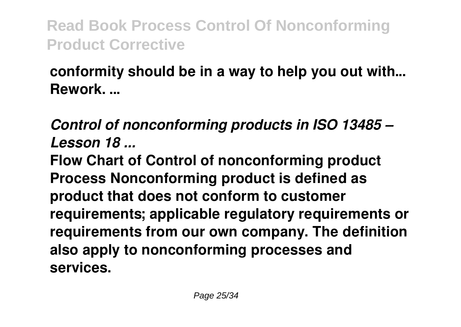#### **conformity should be in a way to help you out with... Rework. ...**

#### *Control of nonconforming products in ISO 13485 – Lesson 18 ...*

**Flow Chart of Control of nonconforming product Process Nonconforming product is defined as product that does not conform to customer requirements; applicable regulatory requirements or requirements from our own company. The definition also apply to nonconforming processes and services.**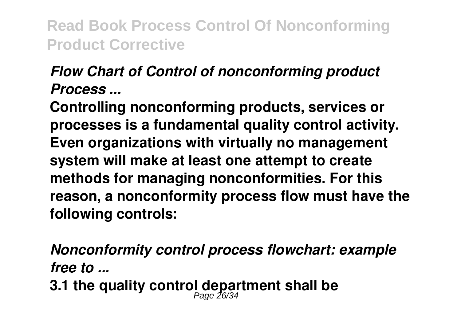#### *Flow Chart of Control of nonconforming product Process ...*

**Controlling nonconforming products, services or processes is a fundamental quality control activity. Even organizations with virtually no management system will make at least one attempt to create methods for managing nonconformities. For this reason, a nonconformity process flow must have the following controls:**

*Nonconformity control process flowchart: example free to ...* **3.1 the quality control department shall be** Page 26/34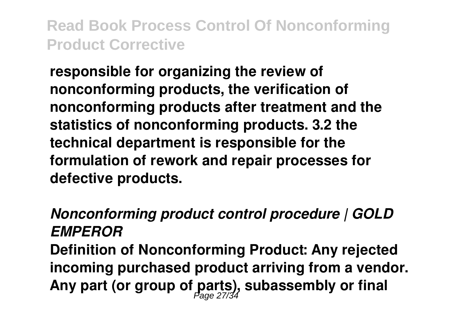**responsible for organizing the review of nonconforming products, the verification of nonconforming products after treatment and the statistics of nonconforming products. 3.2 the technical department is responsible for the formulation of rework and repair processes for defective products.**

## *Nonconforming product control procedure | GOLD EMPEROR*

**Definition of Nonconforming Product: Any rejected incoming purchased product arriving from a vendor. Any part (or group of parts), subassembly or final** Page 27/34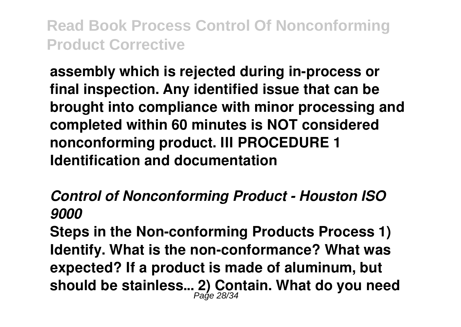**assembly which is rejected during in-process or final inspection. Any identified issue that can be brought into compliance with minor processing and completed within 60 minutes is NOT considered nonconforming product. III PROCEDURE 1 Identification and documentation**

*Control of Nonconforming Product - Houston ISO 9000*

**Steps in the Non-conforming Products Process 1) Identify. What is the non-conformance? What was expected? If a product is made of aluminum, but should be stainless... 2) Contain. What do you need** Page 28/34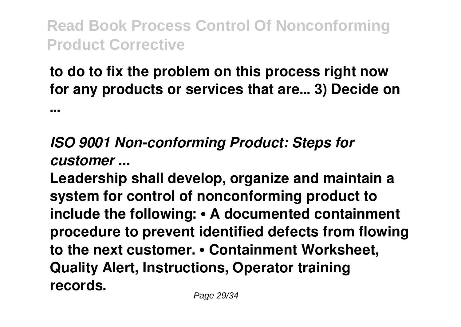#### **to do to fix the problem on this process right now for any products or services that are... 3) Decide on**

**...**

## *ISO 9001 Non-conforming Product: Steps for customer ...*

**Leadership shall develop, organize and maintain a system for control of nonconforming product to include the following: • A documented containment procedure to prevent identified defects from flowing to the next customer. • Containment Worksheet, Quality Alert, Instructions, Operator training records.**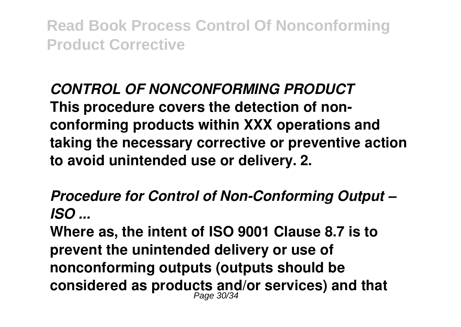#### *CONTROL OF NONCONFORMING PRODUCT* **This procedure covers the detection of nonconforming products within XXX operations and taking the necessary corrective or preventive action to avoid unintended use or delivery. 2.**

*Procedure for Control of Non-Conforming Output – ISO ...*

**Where as, the intent of ISO 9001 Clause 8.7 is to prevent the unintended delivery or use of nonconforming outputs (outputs should be considered as products and/or services) and that** Page 30/34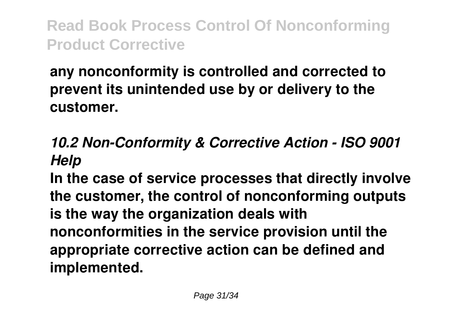#### **any nonconformity is controlled and corrected to prevent its unintended use by or delivery to the customer.**

## *10.2 Non-Conformity & Corrective Action - ISO 9001 Help*

**In the case of service processes that directly involve the customer, the control of nonconforming outputs is the way the organization deals with nonconformities in the service provision until the appropriate corrective action can be defined and implemented.**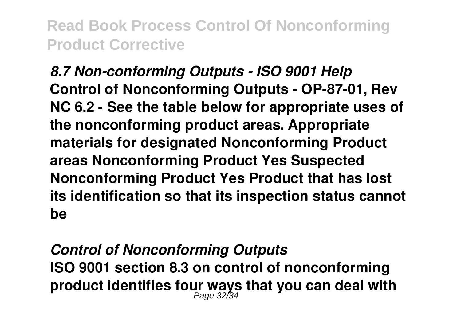*8.7 Non-conforming Outputs - ISO 9001 Help* **Control of Nonconforming Outputs - OP-87-01, Rev NC 6.2 - See the table below for appropriate uses of the nonconforming product areas. Appropriate materials for designated Nonconforming Product areas Nonconforming Product Yes Suspected Nonconforming Product Yes Product that has lost its identification so that its inspection status cannot be**

# *Control of Nonconforming Outputs* **ISO 9001 section 8.3 on control of nonconforming product identifies four ways that you can deal with** Page 32/34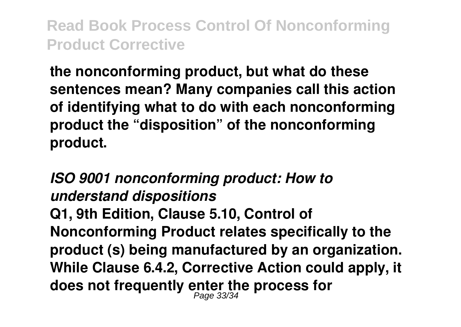**the nonconforming product, but what do these sentences mean? Many companies call this action of identifying what to do with each nonconforming product the "disposition" of the nonconforming product.**

*ISO 9001 nonconforming product: How to understand dispositions* **Q1, 9th Edition, Clause 5.10, Control of Nonconforming Product relates specifically to the product (s) being manufactured by an organization. While Clause 6.4.2, Corrective Action could apply, it does not frequently enter the process for** Page 33/34